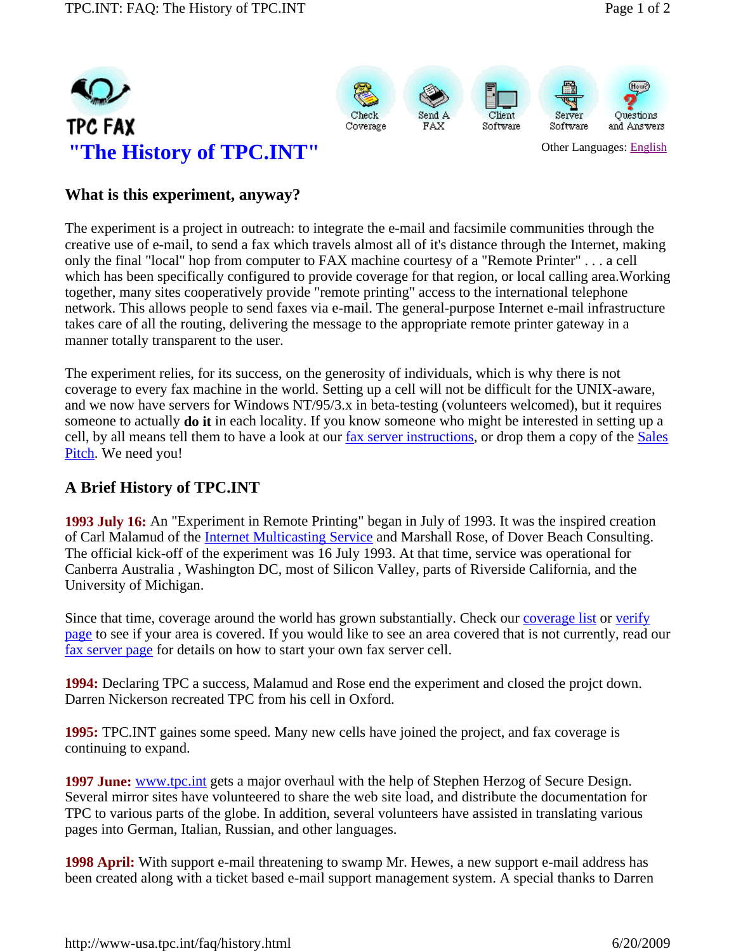







#### **What is this experiment, anyway?**

The experiment is a project in outreach: to integrate the e-mail and facsimile communities through the creative use of e-mail, to send a fax which travels almost all of it's distance through the Internet, making only the final "local" hop from computer to FAX machine courtesy of a "Remote Printer" . . . a cell which has been specifically configured to provide coverage for that region, or local calling area.Working together, many sites cooperatively provide "remote printing" access to the international telephone network. This allows people to send faxes via e-mail. The general-purpose Internet e-mail infrastructure takes care of all the routing, delivering the message to the appropriate remote printer gateway in a manner totally transparent to the user.

The experiment relies, for its success, on the generosity of individuals, which is why there is not coverage to every fax machine in the world. Setting up a cell will not be difficult for the UNIX-aware, and we now have servers for Windows NT/95/3.x in beta-testing (volunteers welcomed), but it requires someone to actually **do it** in each locality. If you know someone who might be interested in setting up a cell, by all means tell them to have a look at our <u>fax server instructions</u>, or drop them a copy of the Sales Pitch. We need you!

# **A Brief History of TPC.INT**

**1993 July 16:** An "Experiment in Remote Printing" began in July of 1993. It was the inspired creation of Carl Malamud of the Internet Multicasting Service and Marshall Rose, of Dover Beach Consulting. The official kick-off of the experiment was 16 July 1993. At that time, service was operational for Canberra Australia , Washington DC, most of Silicon Valley, parts of Riverside California, and the University of Michigan.

Since that time, coverage around the world has grown substantially. Check our coverage list or verify page to see if your area is covered. If you would like to see an area covered that is not currently, read our fax server page for details on how to start your own fax server cell.

**1994:** Declaring TPC a success, Malamud and Rose end the experiment and closed the projct down. Darren Nickerson recreated TPC from his cell in Oxford.

**1995:** TPC.INT gaines some speed. Many new cells have joined the project, and fax coverage is continuing to expand.

**1997 June:** www.tpc.int gets a major overhaul with the help of Stephen Herzog of Secure Design. Several mirror sites have volunteered to share the web site load, and distribute the documentation for TPC to various parts of the globe. In addition, several volunteers have assisted in translating various pages into German, Italian, Russian, and other languages.

**1998 April:** With support e-mail threatening to swamp Mr. Hewes, a new support e-mail address has been created along with a ticket based e-mail support management system. A special thanks to Darren